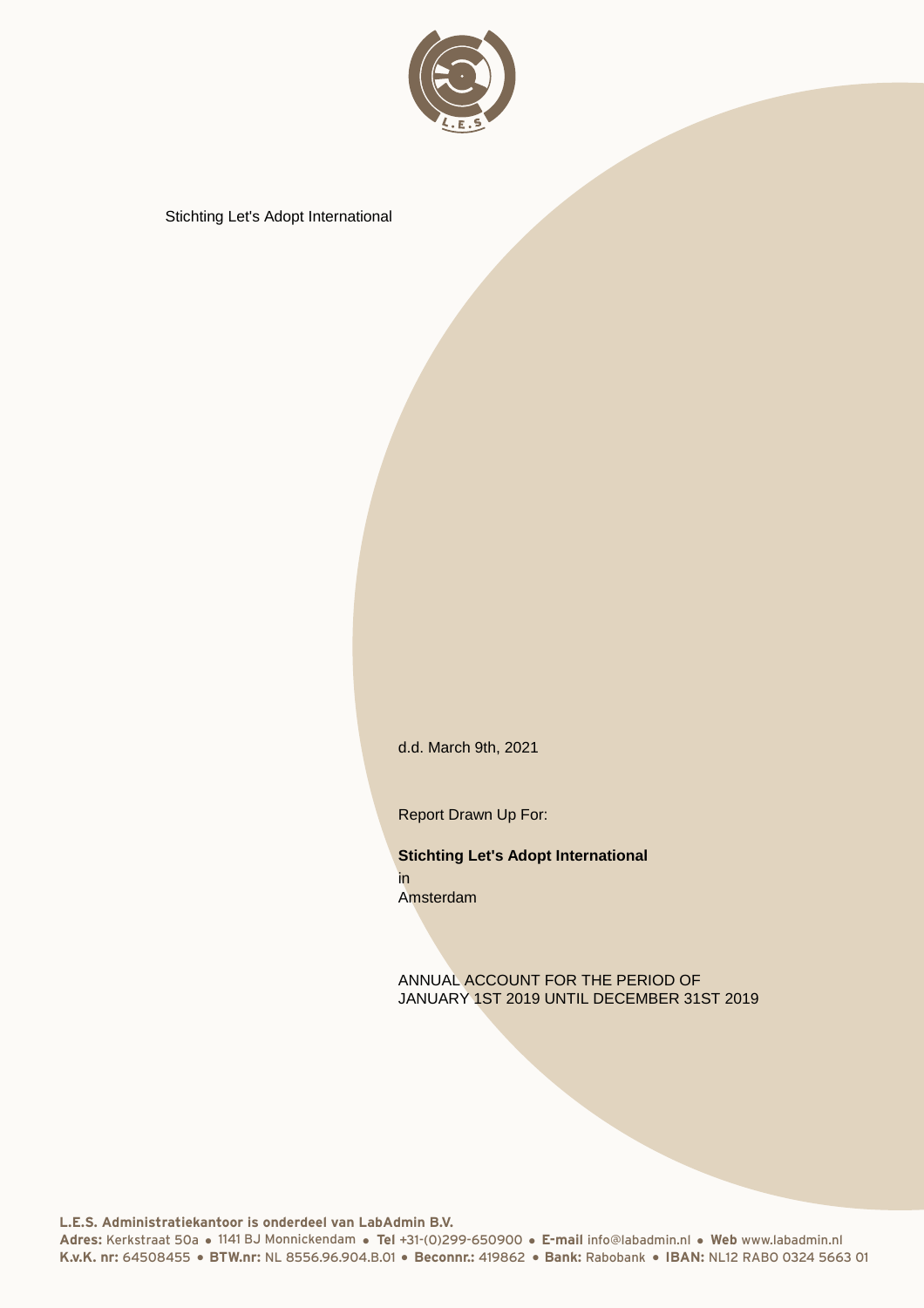

d.d. March 9th, 2021

Report Drawn Up For:

**Stichting Let's Adopt International** in Amsterdam

ANNUAL ACCOUNT FOR THE PERIOD OF JANUARY 1ST 2019 UNTIL DECEMBER 31ST 2019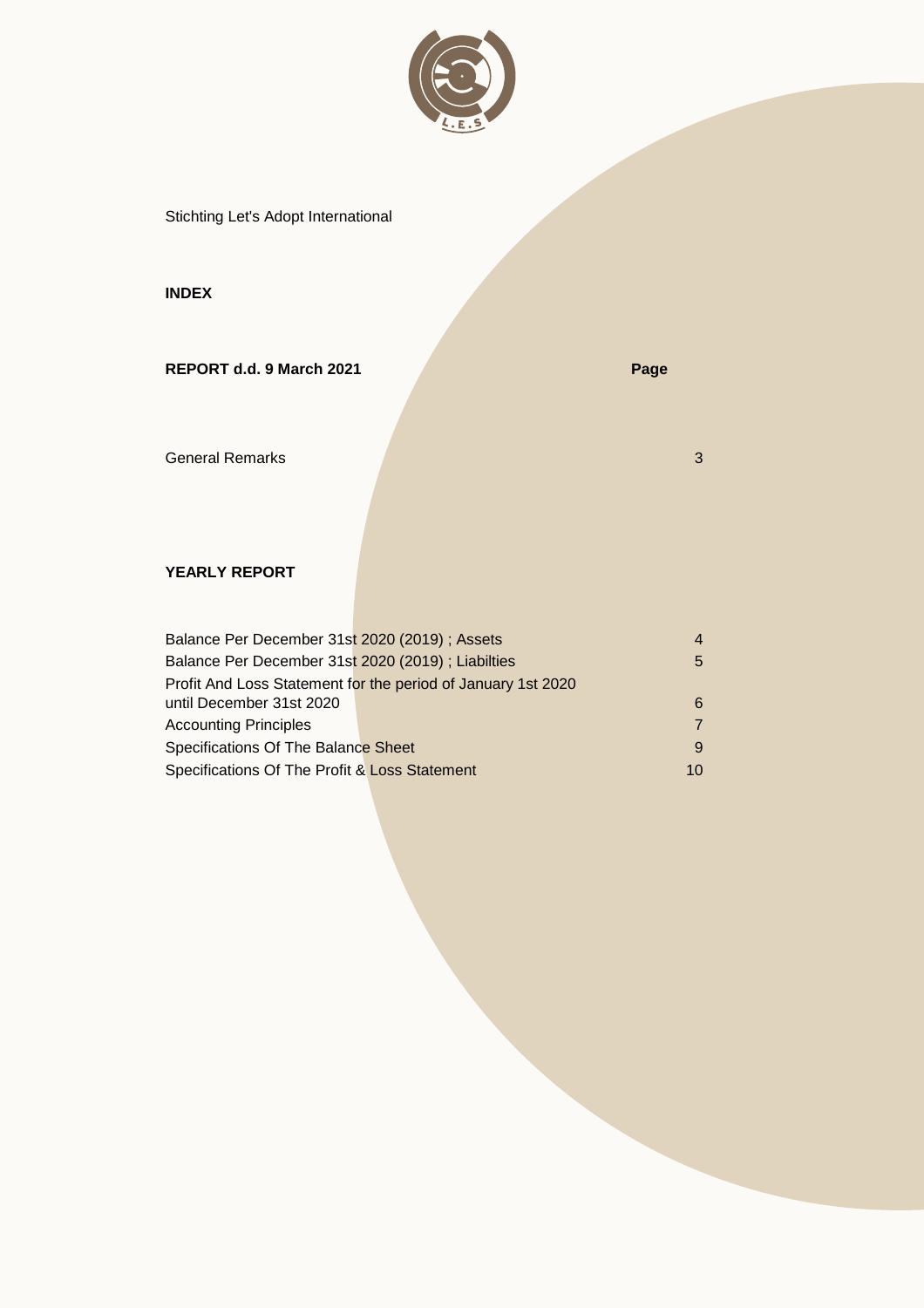

## **INDEX**

| REPORT d.d. 9 March 2021 | Page |
|--------------------------|------|
| <b>General Remarks</b>   | 3    |

## **YEARLY REPORT**

| Balance Per December 31st 2020 (2019); Assets     |                                                              | $\overline{4}$ |
|---------------------------------------------------|--------------------------------------------------------------|----------------|
| Balance Per December 31st 2020 (2019); Liabilties |                                                              | 5              |
|                                                   | Profit And Loss Statement for the period of January 1st 2020 |                |
| until December 31st 2020                          |                                                              | 6              |
| <b>Accounting Principles</b>                      |                                                              | $\overline{7}$ |
| Specifications Of The Balance Sheet               |                                                              | 9              |
| Specifications Of The Profit & Loss Statement     |                                                              | 10             |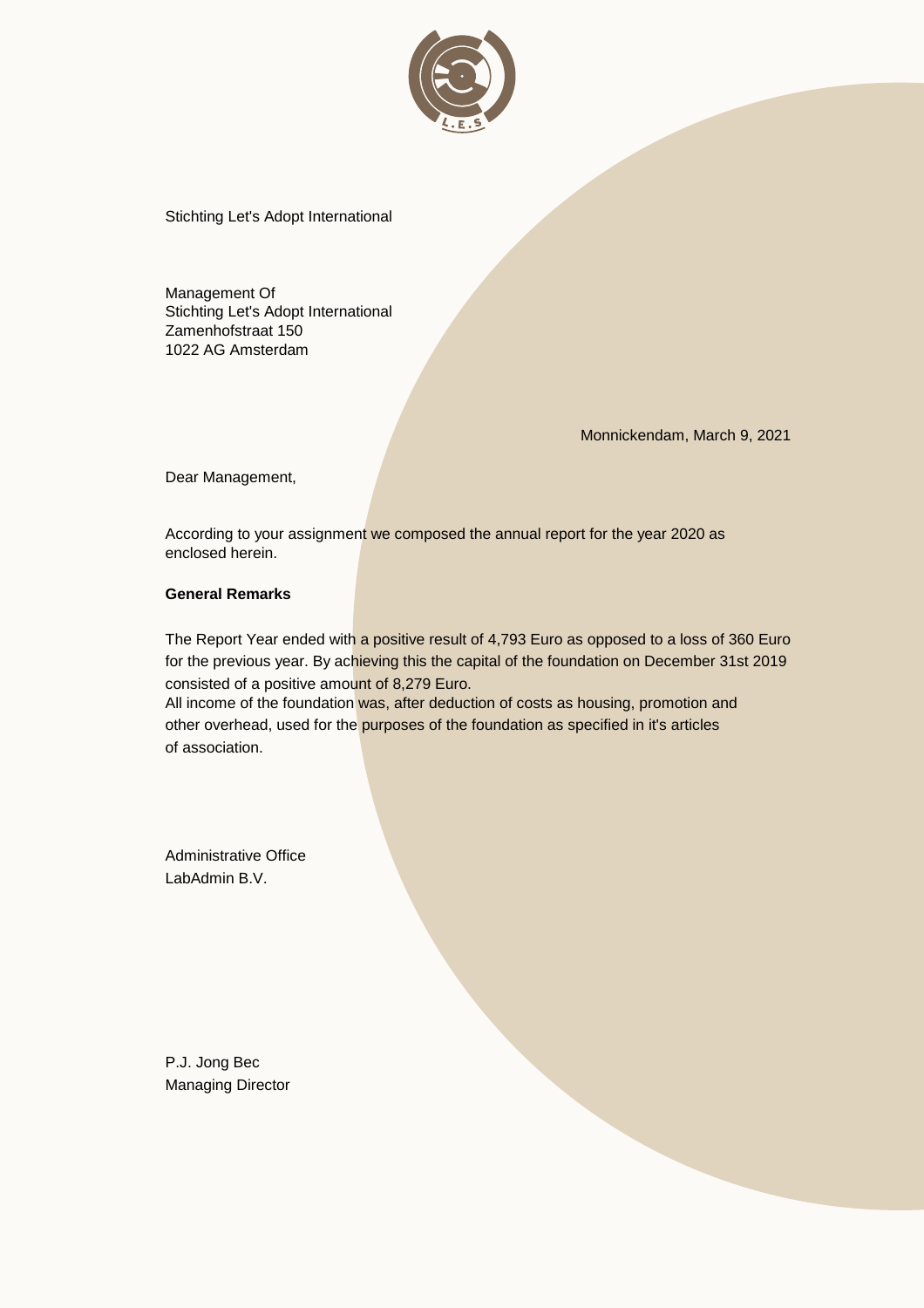

Management Of Stichting Let's Adopt International Zamenhofstraat 150 1022 AG Amsterdam

Monnickendam, March 9, 2021

Dear Management,

According to your assignment we composed the annual report for the year 2020 as enclosed herein.

### **General Remarks**

The Report Year ended with a positive result of 4,793 Euro as opposed to a loss of 360 Euro for the previous year. By achieving this the capital of the foundation on December 31st 2019 consisted of a positive amount of 8,279 Euro.

All income of the foundation was, after deduction of costs as housing, promotion and other overhead, used for the purposes of the foundation as specified in it's articles of association.

Administrative Office LabAdmin B.V.

P.J. Jong Bec Managing Director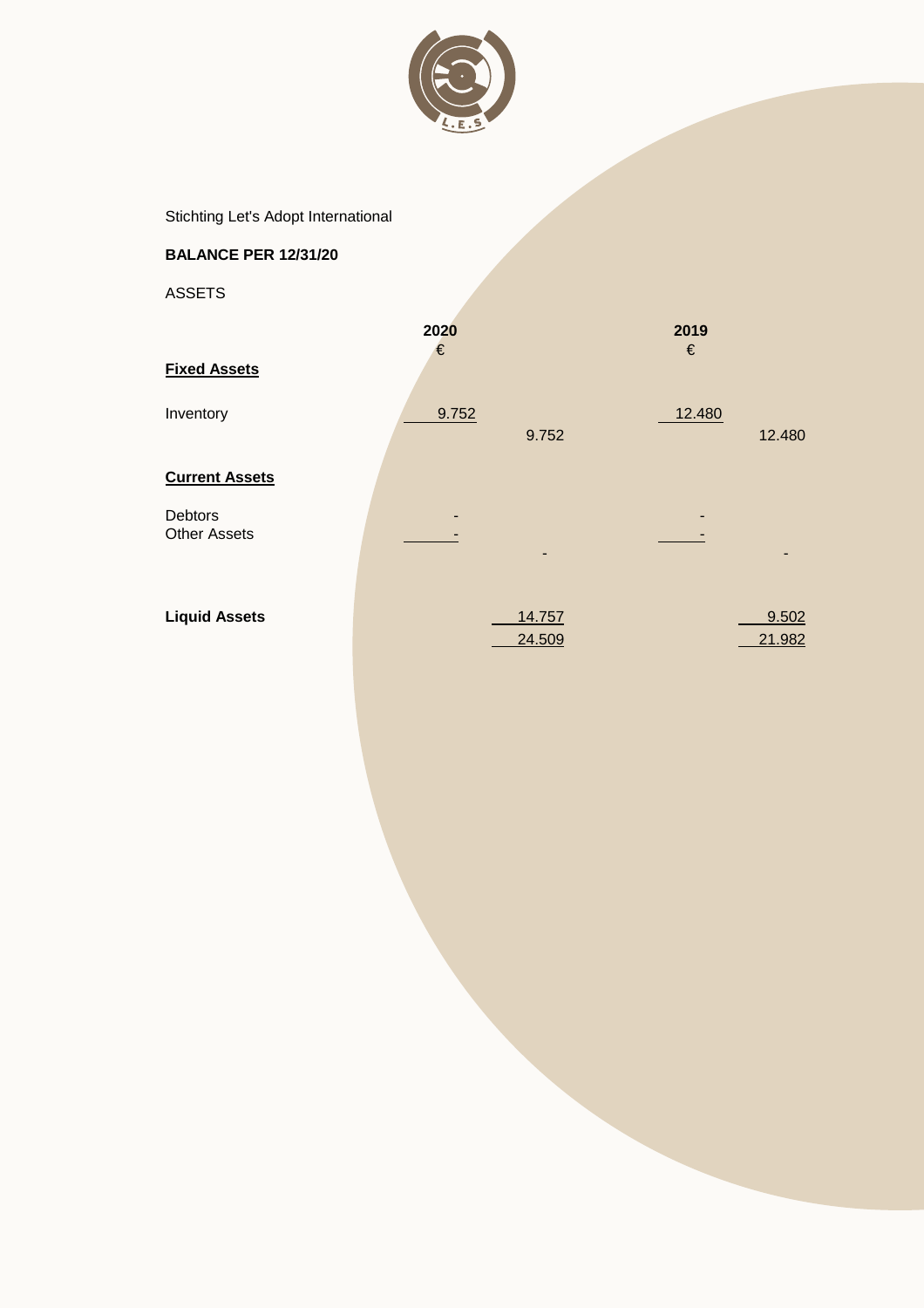

# **BALANCE PER 12/31/20**

ASSETS

|                                | 2020<br>€ |                  | 2019<br>$\in$ |                 |
|--------------------------------|-----------|------------------|---------------|-----------------|
| <b>Fixed Assets</b>            |           |                  |               |                 |
| Inventory                      | 9.752     | 9.752            | 12.480        | 12.480          |
| <b>Current Assets</b>          |           |                  |               |                 |
| Debtors<br><b>Other Assets</b> |           |                  |               |                 |
| <b>Liquid Assets</b>           |           | 14.757<br>24.509 |               | 9.502<br>21.982 |
|                                |           |                  |               |                 |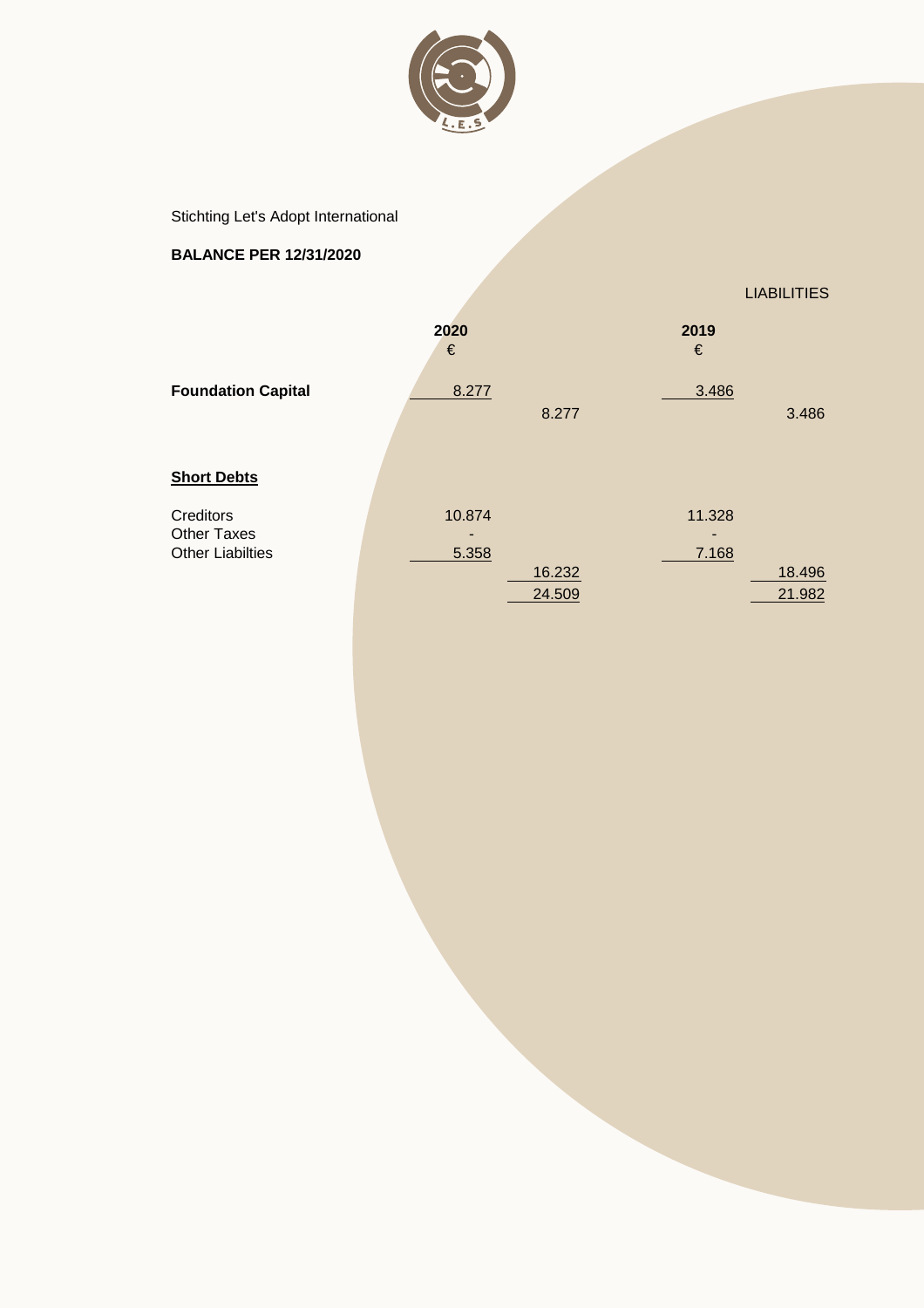

# **BALANCE PER 12/31/2020**

LIABILITIES

|                           | 2020<br>€ |        | 2019<br>€ |        |
|---------------------------|-----------|--------|-----------|--------|
| <b>Foundation Capital</b> | 8.277     |        | 3.486     |        |
|                           |           | 8.277  |           | 3.486  |
| <b>Short Debts</b>        |           |        |           |        |
| Creditors                 | 10.874    |        | 11.328    |        |
| <b>Other Taxes</b>        |           |        |           |        |
| <b>Other Liabilties</b>   | 5.358     |        | 7.168     |        |
|                           |           | 16.232 |           | 18.496 |
|                           |           | 24.509 |           | 21.982 |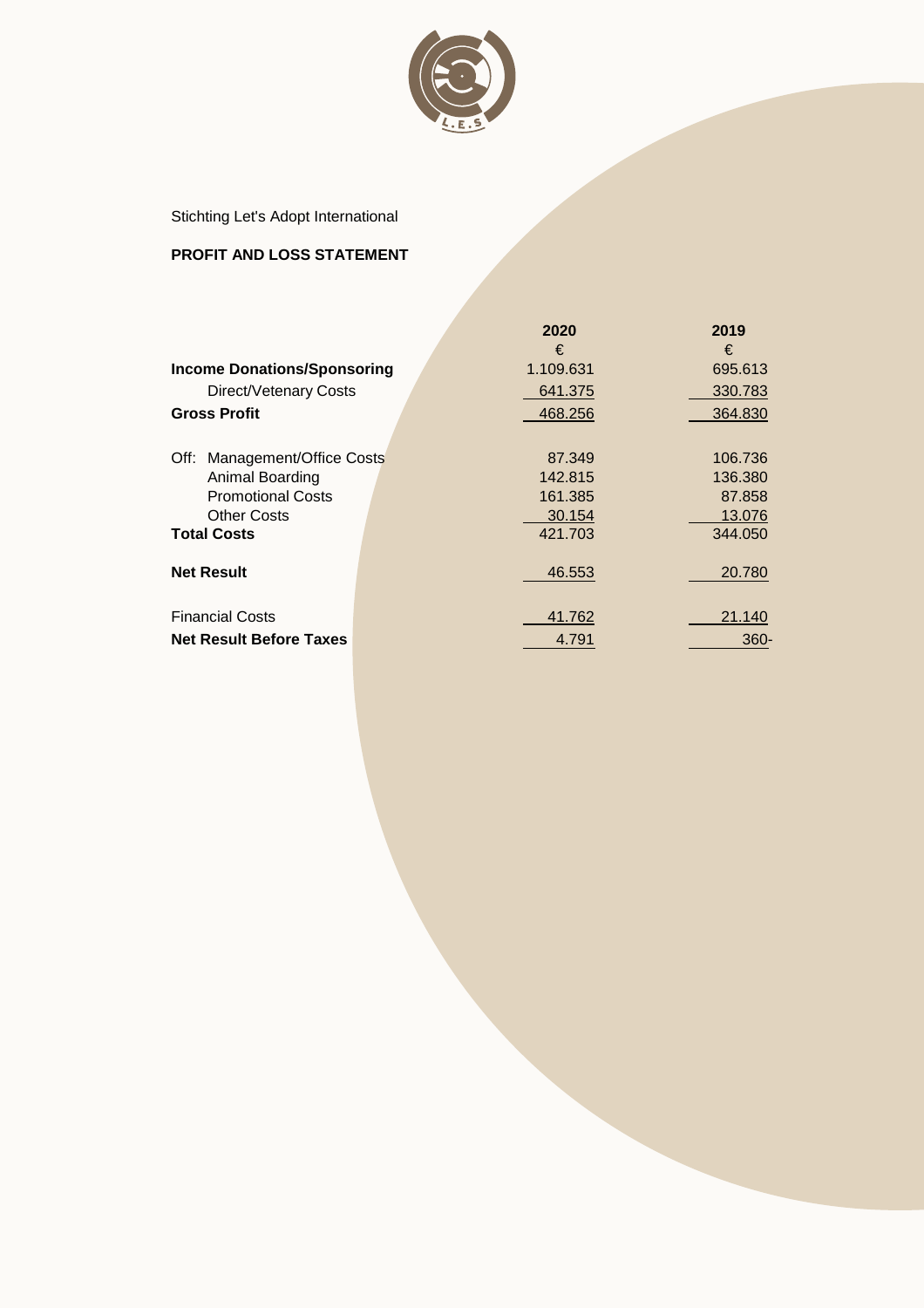

## **PROFIT AND LOSS STATEMENT**

|                                    | 2020      | 2019    |
|------------------------------------|-----------|---------|
|                                    | €         | €       |
| <b>Income Donations/Sponsoring</b> | 1.109.631 | 695.613 |
| Direct/Vetenary Costs              | 641.375   | 330.783 |
| <b>Gross Profit</b>                | 468.256   | 364.830 |
|                                    |           |         |
| Off: Management/Office Costs       | 87.349    | 106.736 |
| Animal Boarding                    | 142.815   | 136.380 |
| <b>Promotional Costs</b>           | 161.385   | 87.858  |
| <b>Other Costs</b>                 | 30.154    | 13.076  |
| <b>Total Costs</b>                 | 421.703   | 344.050 |
| <b>Net Result</b>                  | 46.553    | 20.780  |
|                                    |           |         |
| <b>Financial Costs</b>             | 41.762    | 21.140  |
| <b>Net Result Before Taxes</b>     | 4.791     | $360 -$ |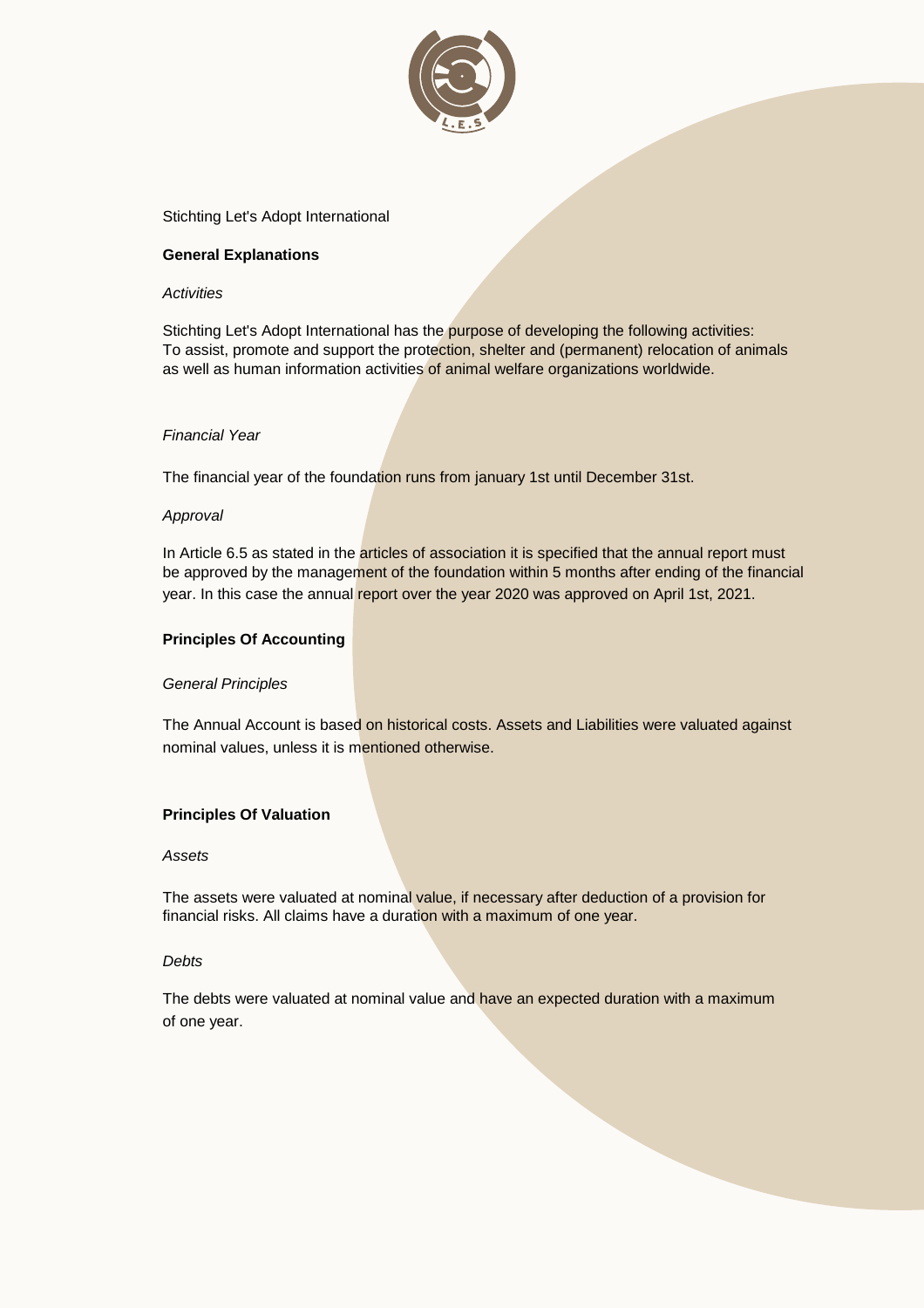

### **General Explanations**

#### *Activities*

Stichting Let's Adopt International has the purpose of developing the following activities: To assist, promote and support the protection, shelter and (permanent) relocation of animals as well as human information activities of animal welfare organizations worldwide.

#### *Financial Year*

The financial year of the foundation runs from january 1st until December 31st.

### *Approval*

In Article 6.5 as stated in the articles of association it is specified that the annual report must be approved by the management of the foundation within 5 months after ending of the financial year. In this case the annual report over the year 2020 was approved on April 1st, 2021.

### **Principles Of Accounting**

### *General Principles*

The Annual Account is based on historical costs. Assets and Liabilities were valuated against nominal values, unless it is mentioned otherwise.

### **Principles Of Valuation**

#### *Assets*

The assets were valuated at nominal value, if necessary after deduction of a provision for financial risks. All claims have a duration with a maximum of one year.

#### *Debts*

The debts were valuated at nominal value and have an expected duration with a maximum of one year.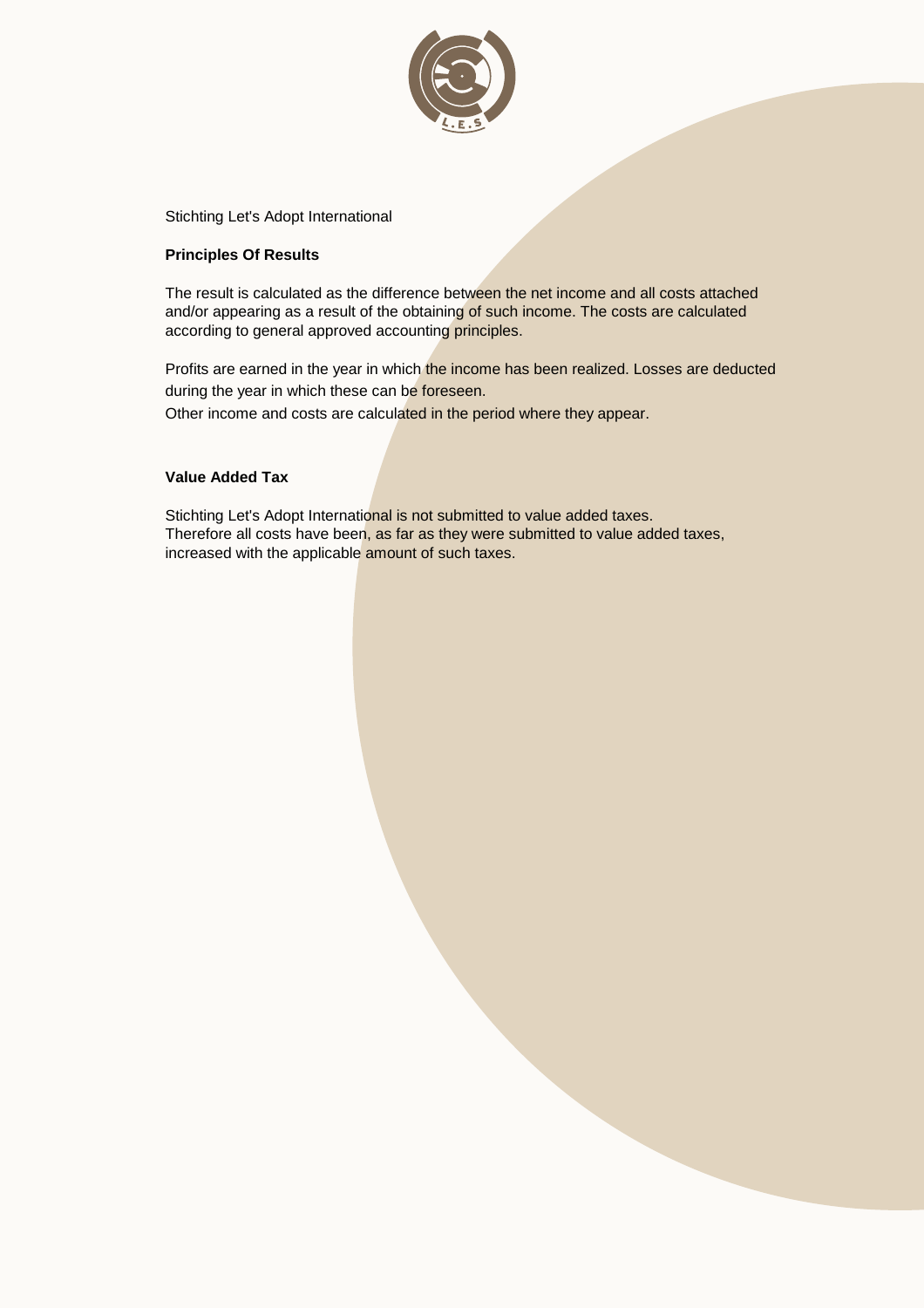

### **Principles Of Results**

The result is calculated as the difference between the net income and all costs attached and/or appearing as a result of the obtaining of such income. The costs are calculated according to general approved accounting principles.

Profits are earned in the year in which the income has been realized. Losses are deducted during the year in which these can be foreseen.

Other income and costs are calculated in the period where they appear.

### **Value Added Tax**

Stichting Let's Adopt International is not submitted to value added taxes. Therefore all costs have been, as far as they were submitted to value added taxes, increased with the applicable amount of such taxes.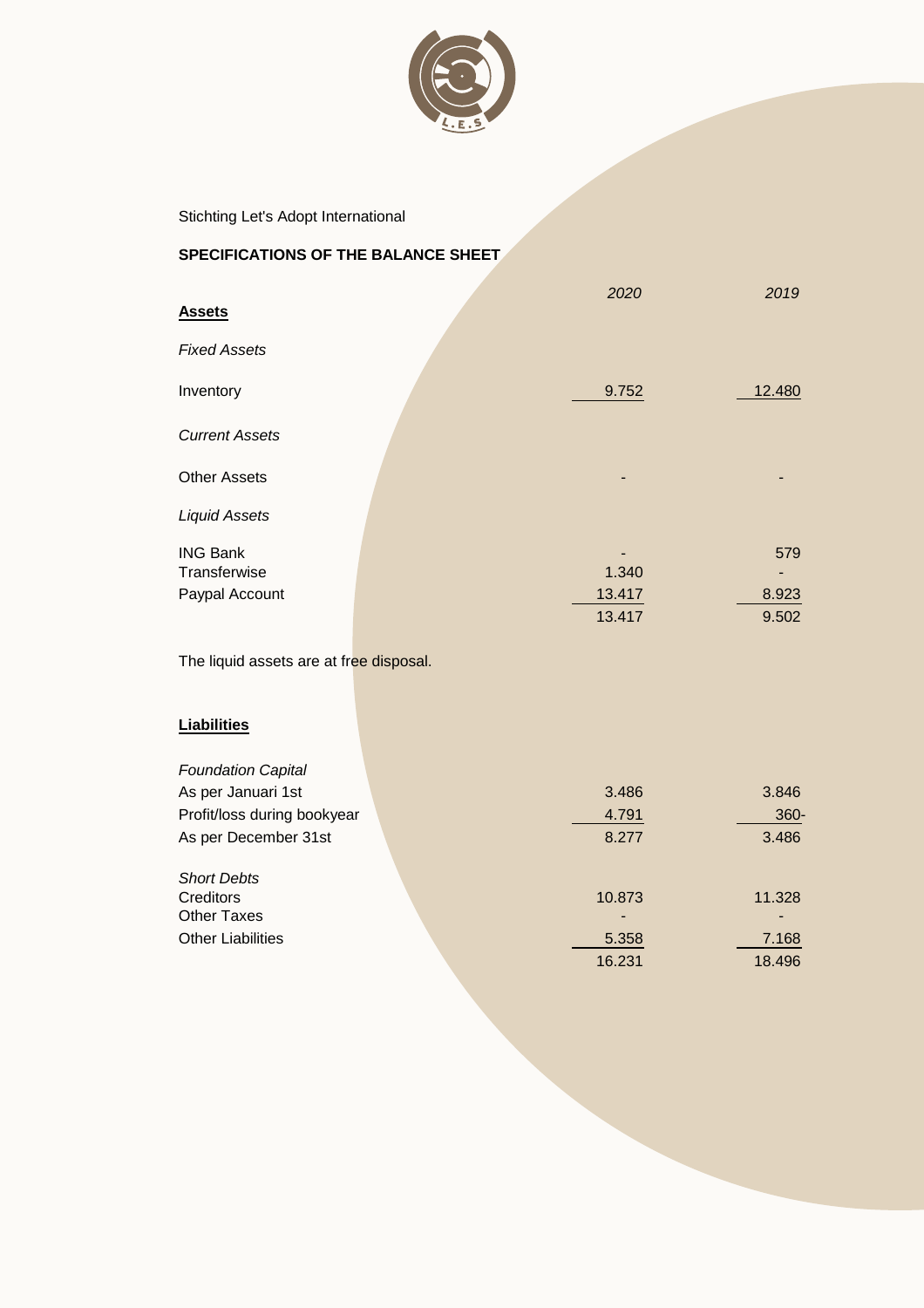

## **SPECIFICATIONS OF THE BALANCE SHEET**

| <b>Assets</b>         | 2020   | 2019   |
|-----------------------|--------|--------|
| <b>Fixed Assets</b>   |        |        |
| Inventory             | 9.752  | 12.480 |
| <b>Current Assets</b> |        |        |
| <b>Other Assets</b>   | -      |        |
| <b>Liquid Assets</b>  |        |        |
| <b>ING Bank</b>       |        | 579    |
| Transferwise          | 1.340  |        |
| Paypal Account        | 13.417 | 8.923  |
|                       | 13.417 | 9.502  |

The liquid assets are at free disposal.

## **Liabilities**

| <b>Foundation Capital</b>   |        |        |
|-----------------------------|--------|--------|
| As per Januari 1st          | 3.486  | 3.846  |
| Profit/loss during bookyear | 4.791  | 360-   |
| As per December 31st        | 8.277  | 3.486  |
| <b>Short Debts</b>          |        |        |
| Creditors                   | 10.873 | 11.328 |
| <b>Other Taxes</b>          |        |        |
| <b>Other Liabilities</b>    | 5.358  | 7.168  |
|                             | 16.231 | 18.496 |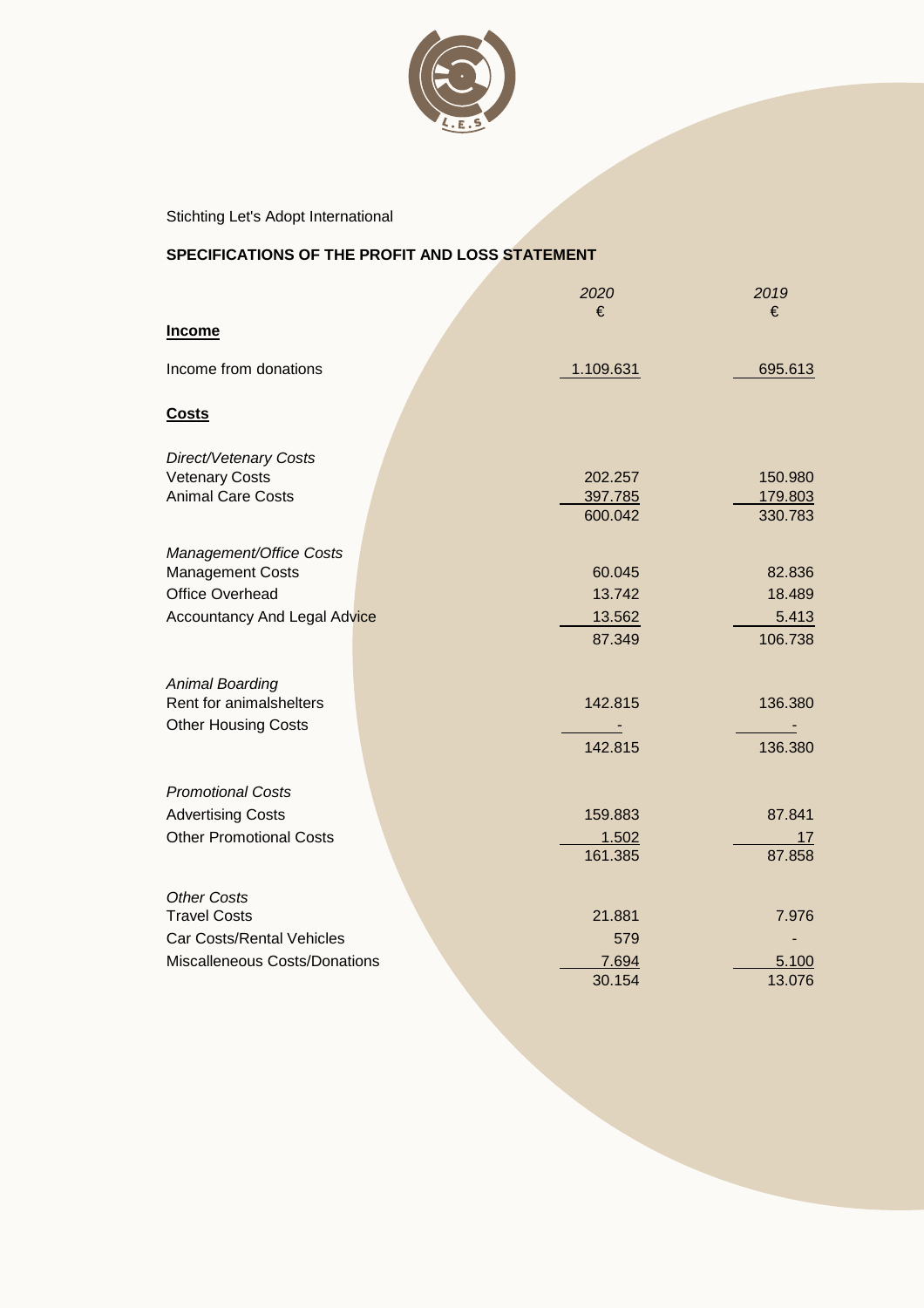

## **SPECIFICATIONS OF THE PROFIT AND LOSS STATEMENT**

|                                     | 2020<br>€ | 2019<br>€ |
|-------------------------------------|-----------|-----------|
| <b>Income</b>                       |           |           |
| Income from donations               | 1.109.631 | 695.613   |
| <b>Costs</b>                        |           |           |
| Direct/Vetenary Costs               |           |           |
| <b>Vetenary Costs</b>               | 202.257   | 150.980   |
| <b>Animal Care Costs</b>            | 397.785   | 179.803   |
|                                     | 600.042   | 330.783   |
| Management/Office Costs             |           |           |
| <b>Management Costs</b>             | 60.045    | 82.836    |
| Office Overhead                     | 13.742    | 18.489    |
| <b>Accountancy And Legal Advice</b> | 13.562    | 5.413     |
|                                     | 87.349    | 106.738   |
|                                     |           |           |
| <b>Animal Boarding</b>              |           |           |
| Rent for animalshelters             | 142.815   | 136.380   |
| <b>Other Housing Costs</b>          |           |           |
|                                     | 142.815   | 136.380   |
|                                     |           |           |
| <b>Promotional Costs</b>            |           |           |
| <b>Advertising Costs</b>            | 159.883   | 87.841    |
| <b>Other Promotional Costs</b>      | 1.502     | 17        |
|                                     | 161.385   | 87.858    |
|                                     |           |           |
| <b>Other Costs</b>                  |           |           |
| <b>Travel Costs</b>                 | 21.881    | 7.976     |
| <b>Car Costs/Rental Vehicles</b>    | 579       |           |
| Miscalleneous Costs/Donations       | 7.694     | 5.100     |
|                                     | 30.154    | 13.076    |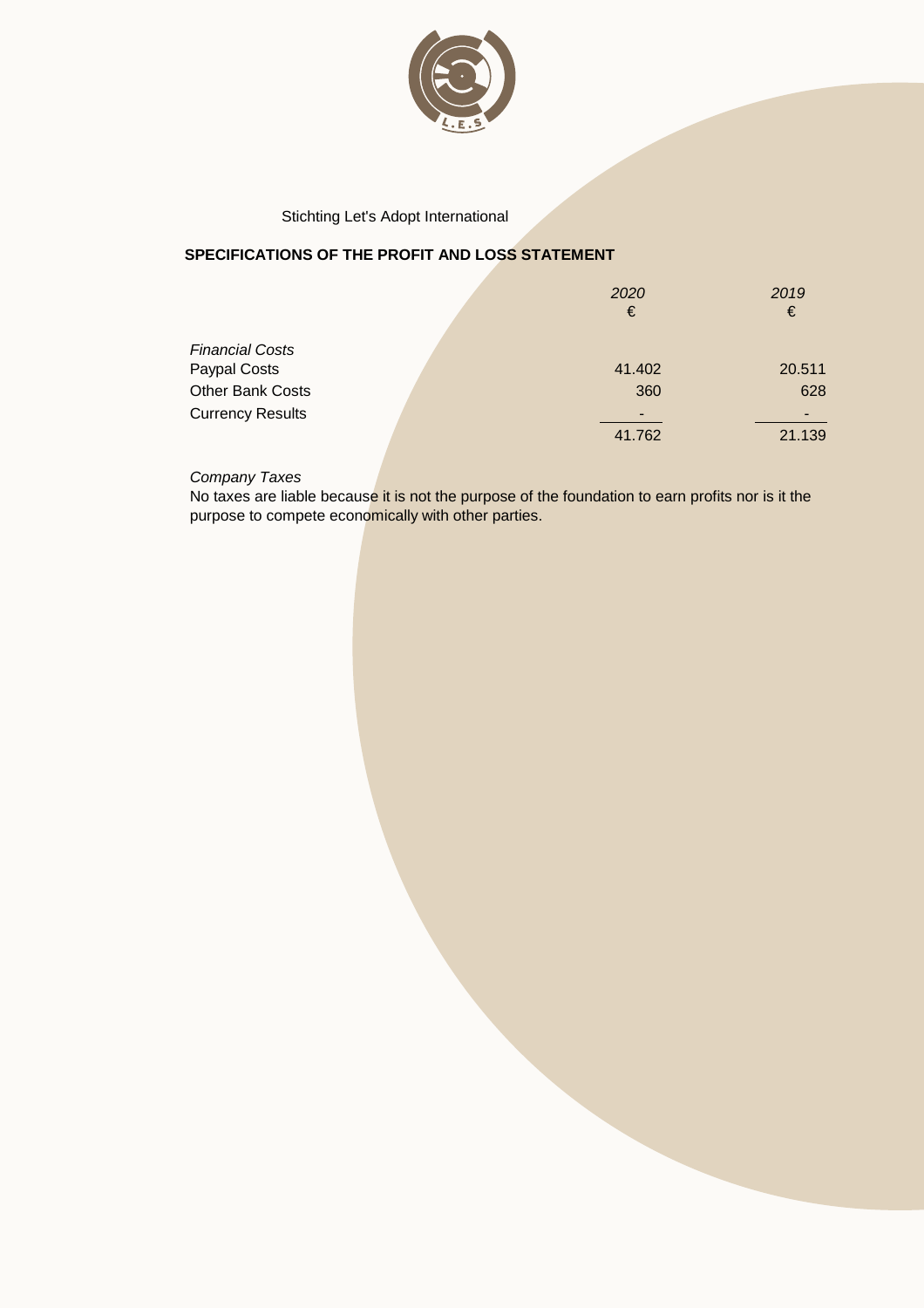

## **SPECIFICATIONS OF THE PROFIT AND LOSS STATEMENT**

|                         | 2020<br>€                | 2019<br>€ |
|-------------------------|--------------------------|-----------|
| <b>Financial Costs</b>  |                          |           |
| Paypal Costs            | 41.402                   | 20.511    |
| Other Bank Costs        | 360                      | 628       |
| <b>Currency Results</b> | $\overline{\phantom{0}}$ |           |
|                         | 41.762                   | 21.139    |

*Company Taxes*

No taxes are liable because it is not the purpose of the foundation to earn profits nor is it the purpose to compete economically with other parties.